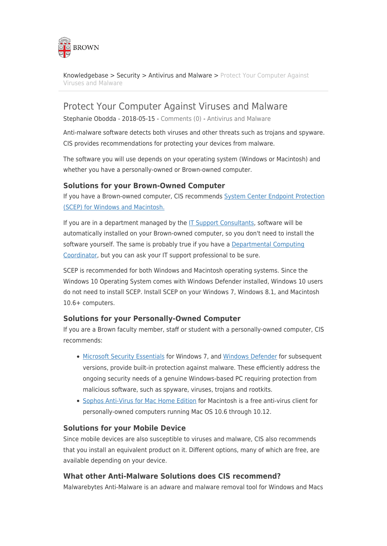

[Knowledgebase](https://ithelp.brown.edu/kb) > [Security](https://ithelp.brown.edu/kb/security-2) > [Antivirus and Malware](https://ithelp.brown.edu/kb/antivirus-and-malware) > [Protect Your Computer Against](https://ithelp.brown.edu/kb/articles/protect-your-computer-against-viruses-and-malware) [Viruses and Malware](https://ithelp.brown.edu/kb/articles/protect-your-computer-against-viruses-and-malware)

# Protect Your Computer Against Viruses and Malware

Stephanie Obodda - 2018-05-15 - [Comments \(0\)](#page--1-0) - [Antivirus and Malware](https://ithelp.brown.edu/kb/antivirus-and-malware)

Anti-malware software detects both viruses and other threats such as trojans and spyware. CIS provides recommendations for protecting your devices from malware.

The software you will use depends on your operating system (Windows or Macintosh) and whether you have a personally-owned or Brown-owned computer.

### **Solutions for your Brown-Owned Computer**

If you have a Brown-owned computer, CIS recommends [System Center Endpoint Protection](https://www.brown.edu/information-technology/software/catalog/anti-virus-system-center-endpoint-protection) [\(SCEP\) for Windows and Macintosh.](https://www.brown.edu/information-technology/software/catalog/anti-virus-system-center-endpoint-protection)

If you are in a department managed by the [IT Support Consultants,](https://it.brown.edu/about-itsc-program) software will be automatically installed on your Brown-owned computer, so you don't need to install the software yourself. The same is probably true if you have a [Departmental Computing](https://it.brown.edu/about-dcc-program) [Coordinator](https://it.brown.edu/about-dcc-program), but you can ask your IT support professional to be sure.

SCEP is recommended for both Windows and Macintosh operating systems. Since the Windows 10 Operating System comes with Windows Defender installed, Windows 10 users do not need to install SCEP. Install SCEP on your Windows 7, Windows 8.1, and Macintosh 10.6+ computers.

#### **Solutions for your Personally-Owned Computer**

If you are a Brown faculty member, staff or student with a personally-owned computer, CIS recommends:

- [Microsoft Security Essentials](https://www.brown.edu/information-technology/software/catalog/microsoft-security-essentials-0) for Windows 7, and [Windows Defender](https://support.microsoft.com/en-us/help/17464/windows-defender-help-protect-computer) for subsequent versions, provide built-in protection against malware. These efficiently address the ongoing security needs of a genuine Windows-based PC requiring protection from malicious software, such as spyware, viruses, trojans and rootkits.
- [Sophos Anti-Virus for Mac Home Edition](https://www.brown.edu/information-technology/software/catalog/sophos-anti-virus-mac) for Macintosh is a free anti-virus client for personally-owned computers running Mac OS 10.6 through 10.12.

## **Solutions for your Mobile Device**

Since mobile devices are also susceptible to viruses and malware, CIS also recommends that you install an equivalent product on it. Different options, many of which are free, are available depending on your device.

#### **What other Anti-Malware Solutions does CIS recommend?**

Malwarebytes Anti-Malware is an adware and malware removal tool for Windows and Macs